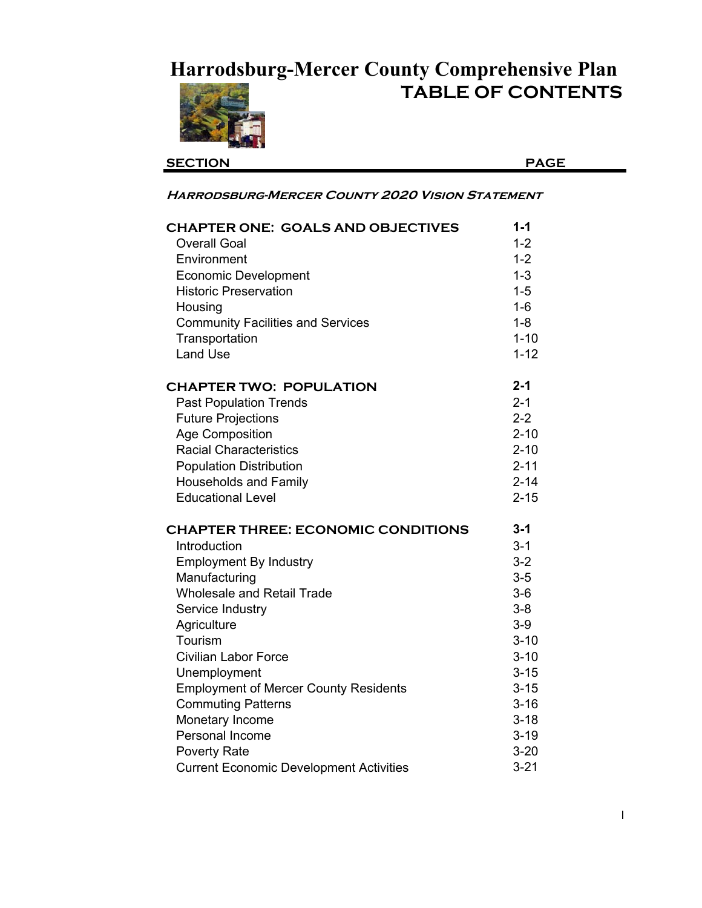## **Harrodsburg-Mercer County Comprehensive Plan**



**TABLE OF CONTENTS**

| <b>SECTION</b>                                         | <b>PAGE</b> |
|--------------------------------------------------------|-------------|
| <b>HARRODSBURG-MERCER COUNTY 2020 VISION STATEMENT</b> |             |
| <b>CHAPTER ONE: GOALS AND OBJECTIVES</b>               | $1 - 1$     |
| <b>Overall Goal</b>                                    | $1 - 2$     |
| Environment                                            | $1 - 2$     |
| <b>Economic Development</b>                            | $1 - 3$     |
| <b>Historic Preservation</b>                           | $1 - 5$     |
| Housing                                                | $1-6$       |
| <b>Community Facilities and Services</b>               | $1 - 8$     |
| Transportation                                         | $1 - 10$    |
| <b>Land Use</b>                                        | $1 - 12$    |
| <b>CHAPTER TWO: POPULATION</b>                         | $2 - 1$     |
| <b>Past Population Trends</b>                          | $2 - 1$     |
| <b>Future Projections</b>                              | $2 - 2$     |
| <b>Age Composition</b>                                 | $2 - 10$    |
| <b>Racial Characteristics</b>                          | $2 - 10$    |
| <b>Population Distribution</b>                         | $2 - 11$    |
| <b>Households and Family</b>                           | $2 - 14$    |
| <b>Educational Level</b>                               | $2 - 15$    |
| <b>CHAPTER THREE: ECONOMIC CONDITIONS</b>              | $3 - 1$     |
| Introduction                                           | $3 - 1$     |
| <b>Employment By Industry</b>                          | $3 - 2$     |
| Manufacturing                                          | $3-5$       |
| <b>Wholesale and Retail Trade</b>                      | $3-6$       |
| Service Industry                                       | $3 - 8$     |
| Agriculture                                            | $3-9$       |
| Tourism                                                | $3 - 10$    |
| <b>Civilian Labor Force</b>                            | $3 - 10$    |
| Unemployment                                           | $3 - 15$    |
| <b>Employment of Mercer County Residents</b>           | $3 - 15$    |
| <b>Commuting Patterns</b>                              | $3 - 16$    |
| Monetary Income                                        | $3 - 18$    |
| Personal Income                                        | $3 - 19$    |
| <b>Poverty Rate</b>                                    | $3 - 20$    |
| <b>Current Economic Development Activities</b>         | $3 - 21$    |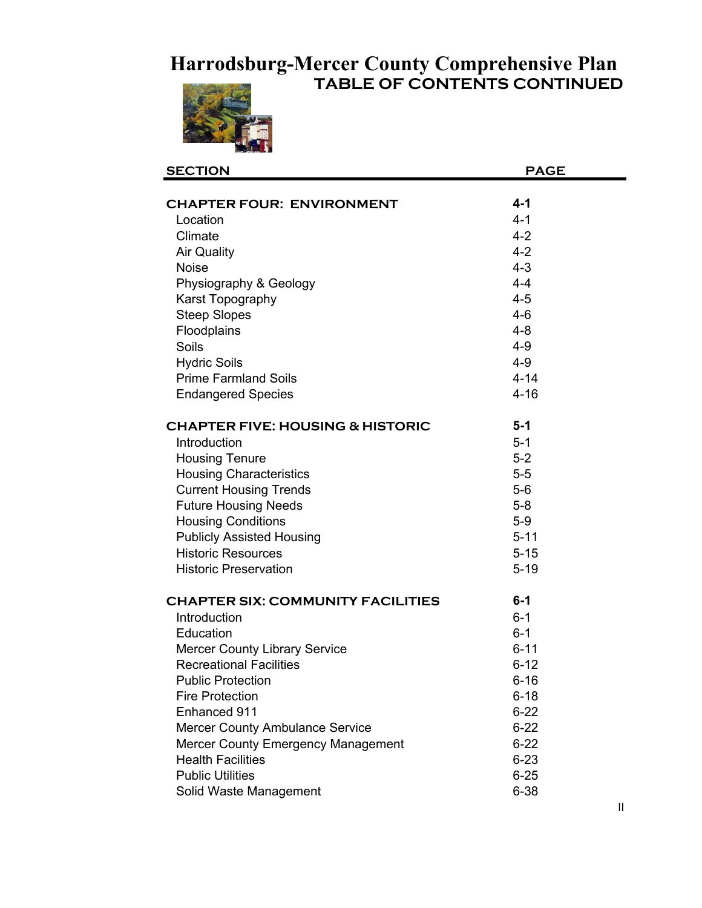## **TABLE OF CONTENTS CONTINUED Harrodsburg-Mercer County Comprehensive Plan**



| <b>SECTION</b>                              | <b>PAGE</b> |
|---------------------------------------------|-------------|
|                                             |             |
| <b>CHAPTER FOUR: ENVIRONMENT</b>            | $4 - 1$     |
| Location                                    | $4 - 1$     |
| Climate                                     | $4 - 2$     |
| <b>Air Quality</b>                          | $4 - 2$     |
| <b>Noise</b>                                | $4 - 3$     |
| Physiography & Geology                      | $4 - 4$     |
| Karst Topography                            | $4 - 5$     |
| <b>Steep Slopes</b>                         | $4 - 6$     |
| Floodplains                                 | $4 - 8$     |
| Soils                                       | $4 - 9$     |
| <b>Hydric Soils</b>                         | $4 - 9$     |
| <b>Prime Farmland Soils</b>                 | $4 - 14$    |
| <b>Endangered Species</b>                   | $4 - 16$    |
|                                             |             |
| <b>CHAPTER FIVE: HOUSING &amp; HISTORIC</b> | $5 - 1$     |
| Introduction                                | $5 - 1$     |
| <b>Housing Tenure</b>                       | $5-2$       |
| <b>Housing Characteristics</b>              | $5-5$       |
| <b>Current Housing Trends</b>               | $5-6$       |
| <b>Future Housing Needs</b>                 | $5-8$       |
| <b>Housing Conditions</b>                   | $5-9$       |
| <b>Publicly Assisted Housing</b>            | $5 - 11$    |
| <b>Historic Resources</b>                   | $5 - 15$    |
| <b>Historic Preservation</b>                | $5 - 19$    |
|                                             | $6-1$       |
| <b>CHAPTER SIX: COMMUNITY FACILITIES</b>    |             |
| Introduction                                | $6 - 1$     |
| Education                                   | $6 - 1$     |
| <b>Mercer County Library Service</b>        | $6 - 11$    |
| <b>Recreational Facilities</b>              | $6 - 12$    |
| <b>Public Protection</b>                    | $6 - 16$    |
| <b>Fire Protection</b>                      | $6 - 18$    |
| Enhanced 911                                | $6 - 22$    |
| <b>Mercer County Ambulance Service</b>      | $6 - 22$    |
| <b>Mercer County Emergency Management</b>   | $6 - 22$    |
| <b>Health Facilities</b>                    | $6 - 23$    |
| <b>Public Utilities</b>                     | $6 - 25$    |
| Solid Waste Management                      | $6 - 38$    |